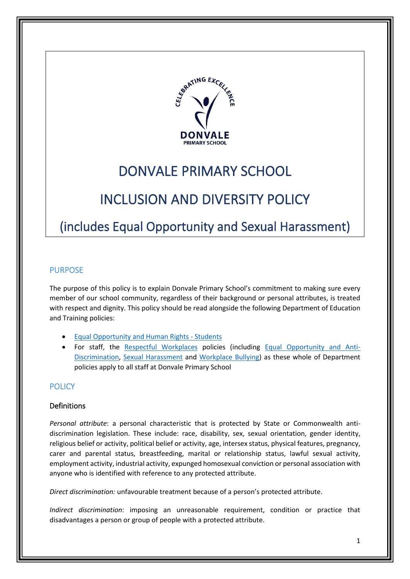

## DONVALE PRIMARY SCHOOL

# INCLUSION AND DIVERSITY POLICY

## (includes Equal Opportunity and Sexual Harassment)

## PURPOSE

The purpose of this policy is to explain Donvale Primary School's commitment to making sure every member of our school community, regardless of their background or personal attributes, is treated with respect and dignity. This policy should be read alongside the following Department of Education and Training policies:

- [Equal Opportunity and Human Rights -](https://www2.education.vic.gov.au/pal/equal-opportunity-human-rights-students/policy) Students
- For staff, the [Respectful Workplaces](https://www2.education.vic.gov.au/pal/respectful-workplaces/overview) policies (including [Equal Opportunity and Anti-](https://www2.education.vic.gov.au/pal/equal-opportunity/overview)[Discrimination,](https://www2.education.vic.gov.au/pal/equal-opportunity/overview) [Sexual Harassment](https://www2.education.vic.gov.au/pal/sexual-harassment/overview) and [Workplace Bullying\)](https://www2.education.vic.gov.au/pal/workplace-bullying/policy) as these whole of Department policies apply to all staff at Donvale Primary School

## **POLICY**

## Definitions

*Personal attribute*: a personal characteristic that is protected by State or Commonwealth antidiscrimination legislation. These include: race, disability, sex, sexual orientation, gender identity, religious belief or activity, political belief or activity, age, intersex status, physical features, pregnancy, carer and parental status, breastfeeding, marital or relationship status, lawful sexual activity, employment activity, industrial activity, expunged homosexual conviction or personal association with anyone who is identified with reference to any protected attribute.

*Direct discrimination:* unfavourable treatment because of a person's protected attribute.

*Indirect discrimination*: imposing an unreasonable requirement, condition or practice that disadvantages a person or group of people with a protected attribute.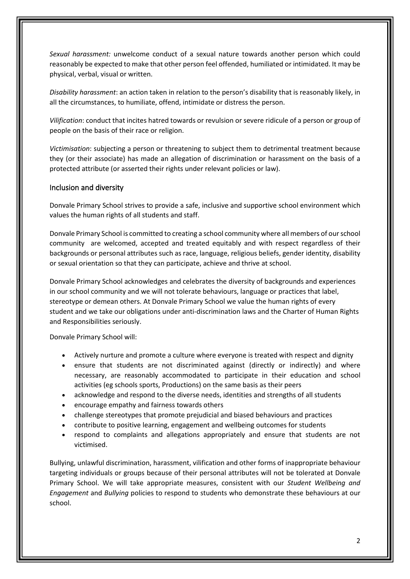*Sexual harassment:* unwelcome conduct of a sexual nature towards another person which could reasonably be expected to make that other person feel offended, humiliated or intimidated. It may be physical, verbal, visual or written.

*Disability harassment*: an action taken in relation to the person's disability that is reasonably likely, in all the circumstances, to humiliate, offend, intimidate or distress the person.

*Vilification*: conduct that incites hatred towards or revulsion or severe ridicule of a person or group of people on the basis of their race or religion.

*Victimisation*: subjecting a person or threatening to subject them to detrimental treatment because they (or their associate) has made an allegation of discrimination or harassment on the basis of a protected attribute (or asserted their rights under relevant policies or law).

#### Inclusion and diversity

Donvale Primary School strives to provide a safe, inclusive and supportive school environment which values the human rights of all students and staff.

Donvale Primary School is committed to creating a school community where all members of our school community are welcomed, accepted and treated equitably and with respect regardless of their backgrounds or personal attributes such as race, language, religious beliefs, gender identity, disability or sexual orientation so that they can participate, achieve and thrive at school.

Donvale Primary School acknowledges and celebrates the diversity of backgrounds and experiences in our school community and we will not tolerate behaviours, language or practices that label, stereotype or demean others. At Donvale Primary School we value the human rights of every student and we take our obligations under anti-discrimination laws and the Charter of Human Rights and Responsibilities seriously.

Donvale Primary School will:

- Actively nurture and promote a culture where everyone is treated with respect and dignity
- ensure that students are not discriminated against (directly or indirectly) and where necessary, are reasonably accommodated to participate in their education and school activities (eg schools sports, Productions) on the same basis as their peers
- acknowledge and respond to the diverse needs, identities and strengths of all students
- encourage empathy and fairness towards others
- challenge stereotypes that promote prejudicial and biased behaviours and practices
- contribute to positive learning, engagement and wellbeing outcomes for students
- respond to complaints and allegations appropriately and ensure that students are not victimised.

Bullying, unlawful discrimination, harassment, vilification and other forms of inappropriate behaviour targeting individuals or groups because of their personal attributes will not be tolerated at Donvale Primary School. We will take appropriate measures, consistent with our *Student Wellbeing and Engagement* and *Bullying* policies to respond to students who demonstrate these behaviours at our school.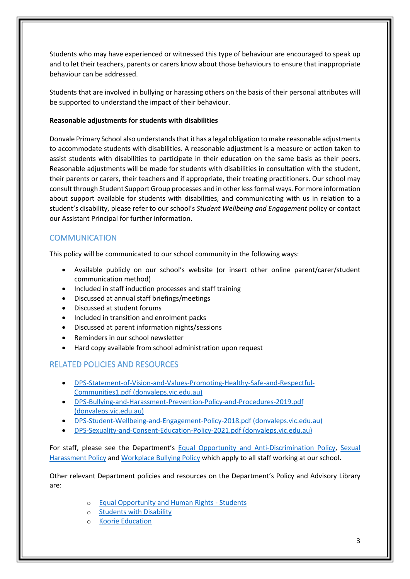Students who may have experienced or witnessed this type of behaviour are encouraged to speak up and to let their teachers, parents or carers know about those behaviours to ensure that inappropriate behaviour can be addressed.

Students that are involved in bullying or harassing others on the basis of their personal attributes will be supported to understand the impact of their behaviour.

#### **Reasonable adjustments for students with disabilities**

Donvale Primary School also understands that it has a legal obligation to make reasonable adjustments to accommodate students with disabilities. A reasonable adjustment is a measure or action taken to assist students with disabilities to participate in their education on the same basis as their peers. Reasonable adjustments will be made for students with disabilities in consultation with the student, their parents or carers, their teachers and if appropriate, their treating practitioners. Our school may consult through Student Support Group processes and in other less formal ways. For more information about support available for students with disabilities, and communicating with us in relation to a student's disability, please refer to our school's *Student Wellbeing and Engagement* policy or contact our Assistant Principal for further information.

## **COMMUNICATION**

This policy will be communicated to our school community in the following ways:

- Available publicly on our school's website (or insert other online parent/carer/student communication method)
- Included in staff induction processes and staff training
- Discussed at annual staff briefings/meetings
- Discussed at student forums
- Included in transition and enrolment packs
- Discussed at parent information nights/sessions
- Reminders in our school newsletter
- Hard copy available from school administration upon request

## RELATED POLICIES AND RESOURCES

- [DPS-Statement-of-Vision-and-Values-Promoting-Healthy-Safe-and-Respectful-](http://donvaleps.vic.edu.au/wp-content/uploads/2011/03/DPS-Statement-of-Vision-and-Values-Promoting-Healthy-Safe-and-Respectful-Communities1.pdf)[Communities1.pdf \(donvaleps.vic.edu.au\)](http://donvaleps.vic.edu.au/wp-content/uploads/2011/03/DPS-Statement-of-Vision-and-Values-Promoting-Healthy-Safe-and-Respectful-Communities1.pdf)
- [DPS-Bullying-and-Harassment-Prevention-Policy-and-Procedures-2019.pdf](http://donvaleps.vic.edu.au/wp-content/uploads/2011/03/DPS-Bullying-and-Harassment-Prevention-Policy-and-Procedures-2019.pdf)  [\(donvaleps.vic.edu.au\)](http://donvaleps.vic.edu.au/wp-content/uploads/2011/03/DPS-Bullying-and-Harassment-Prevention-Policy-and-Procedures-2019.pdf)
- [DPS-Student-Wellbeing-and-Engagement-Policy-2018.pdf \(donvaleps.vic.edu.au\)](http://donvaleps.vic.edu.au/wp-content/uploads/2011/03/DPS-Student-Wellbeing-and-Engagement-Policy-2018.pdf)
- [DPS-Sexuality-and-Consent-Education-Policy-2021.pdf \(donvaleps.vic.edu.au\)](http://donvaleps.vic.edu.au/wp-content/uploads/2011/03/DPS-Sexuality-and-Consent-Education-Policy-2021.pdf)

For staff, please see the Department's [Equal Opportunity and Anti-Discrimination Policy,](https://www2.education.vic.gov.au/pal/equal-opportunity/policy-and-guidelines) [Sexual](https://www2.education.vic.gov.au/pal/sexual-harassment/policy-and-guidelines)  [Harassment Policy](https://www2.education.vic.gov.au/pal/sexual-harassment/policy-and-guidelines) and [Workplace Bullying Policy](https://www2.education.vic.gov.au/pal/workplace-bullying/policy) which apply to all staff working at our school.

Other relevant Department policies and resources on the Department's Policy and Advisory Library are:

- o [Equal Opportunity and Human Rights -](https://www2.education.vic.gov.au/pal/equal-opportunity-human-rights-students/policy) Students
- o [Students with Disability](https://www2.education.vic.gov.au/pal/students-disability/policy)
- o [Koorie Education](https://www2.education.vic.gov.au/pal/koorie-education/policy)